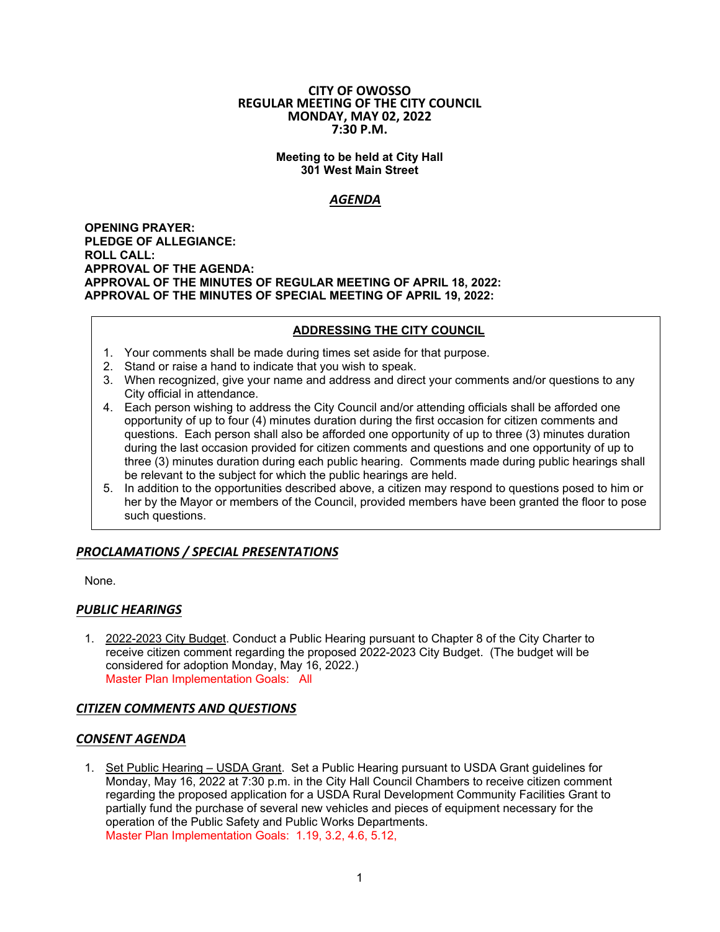#### **CITY OF OWOSSO REGULAR MEETING OF THE CITY COUNCIL MONDAY, MAY 02, 2022 7:30 P.M.**

#### **Meeting to be held at City Hall 301 West Main Street**

# *AGENDA*

**OPENING PRAYER: PLEDGE OF ALLEGIANCE: ROLL CALL: APPROVAL OF THE AGENDA: APPROVAL OF THE MINUTES OF REGULAR MEETING OF APRIL 18, 2022: APPROVAL OF THE MINUTES OF SPECIAL MEETING OF APRIL 19, 2022:** 

## **ADDRESSING THE CITY COUNCIL**

- 1. Your comments shall be made during times set aside for that purpose.
- 2. Stand or raise a hand to indicate that you wish to speak.
- 3. When recognized, give your name and address and direct your comments and/or questions to any City official in attendance.
- 4. Each person wishing to address the City Council and/or attending officials shall be afforded one opportunity of up to four (4) minutes duration during the first occasion for citizen comments and questions. Each person shall also be afforded one opportunity of up to three (3) minutes duration during the last occasion provided for citizen comments and questions and one opportunity of up to three (3) minutes duration during each public hearing. Comments made during public hearings shall be relevant to the subject for which the public hearings are held.
- 5. In addition to the opportunities described above, a citizen may respond to questions posed to him or her by the Mayor or members of the Council, provided members have been granted the floor to pose such questions.

# *PROCLAMATIONS / SPECIAL PRESENTATIONS*

None.

# *PUBLIC HEARINGS*

1. 2022-2023 City Budget. Conduct a Public Hearing pursuant to Chapter 8 of the City Charter to receive citizen comment regarding the proposed 2022-2023 City Budget. (The budget will be considered for adoption Monday, May 16, 2022.) Master Plan Implementation Goals: All

# *CITIZEN COMMENTS AND QUESTIONS*

### *CONSENT AGENDA*

1. Set Public Hearing – USDA Grant. Set a Public Hearing pursuant to USDA Grant guidelines for Monday, May 16, 2022 at 7:30 p.m. in the City Hall Council Chambers to receive citizen comment regarding the proposed application for a USDA Rural Development Community Facilities Grant to partially fund the purchase of several new vehicles and pieces of equipment necessary for the operation of the Public Safety and Public Works Departments. Master Plan Implementation Goals: 1.19, 3.2, 4.6, 5.12,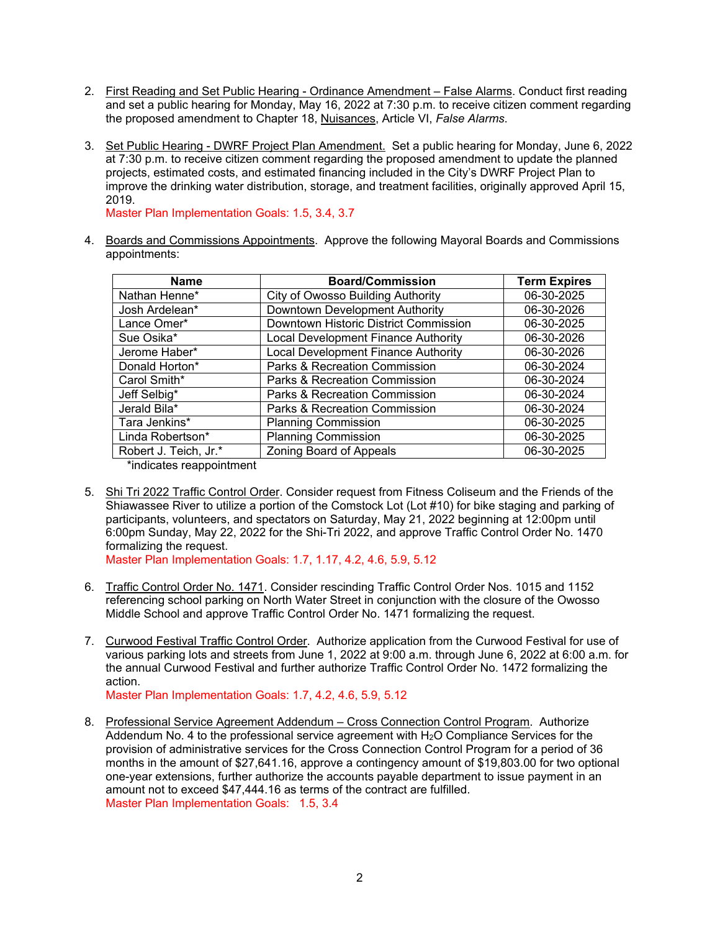- 2. First Reading and Set Public Hearing Ordinance Amendment False Alarms. Conduct first reading and set a public hearing for Monday, May 16, 2022 at 7:30 p.m. to receive citizen comment regarding the proposed amendment to Chapter 18, Nuisances, Article VI, *False Alarms*.
- 3. Set Public Hearing DWRF Project Plan Amendment. Set a public hearing for Monday, June 6, 2022 at 7:30 p.m. to receive citizen comment regarding the proposed amendment to update the planned projects, estimated costs, and estimated financing included in the City's DWRF Project Plan to improve the drinking water distribution, storage, and treatment facilities, originally approved April 15, 2019.

Master Plan Implementation Goals: 1.5, 3.4, 3.7

4. Boards and Commissions Appointments. Approve the following Mayoral Boards and Commissions appointments:

| <b>Board/Commission</b>                  | <b>Term Expires</b> |
|------------------------------------------|---------------------|
| <b>City of Owosso Building Authority</b> | 06-30-2025          |
| Downtown Development Authority           | 06-30-2026          |
| Downtown Historic District Commission    | 06-30-2025          |
| Local Development Finance Authority      | 06-30-2026          |
| Local Development Finance Authority      | 06-30-2026          |
| Parks & Recreation Commission            | 06-30-2024          |
| Parks & Recreation Commission            | 06-30-2024          |
| Parks & Recreation Commission            | 06-30-2024          |
| Parks & Recreation Commission            | 06-30-2024          |
| <b>Planning Commission</b>               | 06-30-2025          |
| <b>Planning Commission</b>               | 06-30-2025          |
| Zoning Board of Appeals                  | 06-30-2025          |
|                                          |                     |

\*indicates reappointment

5. Shi Tri 2022 Traffic Control Order. Consider request from Fitness Coliseum and the Friends of the Shiawassee River to utilize a portion of the Comstock Lot (Lot #10) for bike staging and parking of participants, volunteers, and spectators on Saturday, May 21, 2022 beginning at 12:00pm until 6:00pm Sunday, May 22, 2022 for the Shi-Tri 2022, and approve Traffic Control Order No. 1470 formalizing the request.

Master Plan Implementation Goals: 1.7, 1.17, 4.2, 4.6, 5.9, 5.12

- 6. Traffic Control Order No. 1471. Consider rescinding Traffic Control Order Nos. 1015 and 1152 referencing school parking on North Water Street in conjunction with the closure of the Owosso Middle School and approve Traffic Control Order No. 1471 formalizing the request.
- 7. Curwood Festival Traffic Control Order. Authorize application from the Curwood Festival for use of various parking lots and streets from June 1, 2022 at 9:00 a.m. through June 6, 2022 at 6:00 a.m. for the annual Curwood Festival and further authorize Traffic Control Order No. 1472 formalizing the action.

Master Plan Implementation Goals: 1.7, 4.2, 4.6, 5.9, 5.12

8. Professional Service Agreement Addendum – Cross Connection Control Program. Authorize Addendum No. 4 to the professional service agreement with  $H<sub>2</sub>O$  Compliance Services for the provision of administrative services for the Cross Connection Control Program for a period of 36 months in the amount of \$27,641.16, approve a contingency amount of \$19,803.00 for two optional one-year extensions, further authorize the accounts payable department to issue payment in an amount not to exceed \$47,444.16 as terms of the contract are fulfilled. Master Plan Implementation Goals: 1.5, 3.4